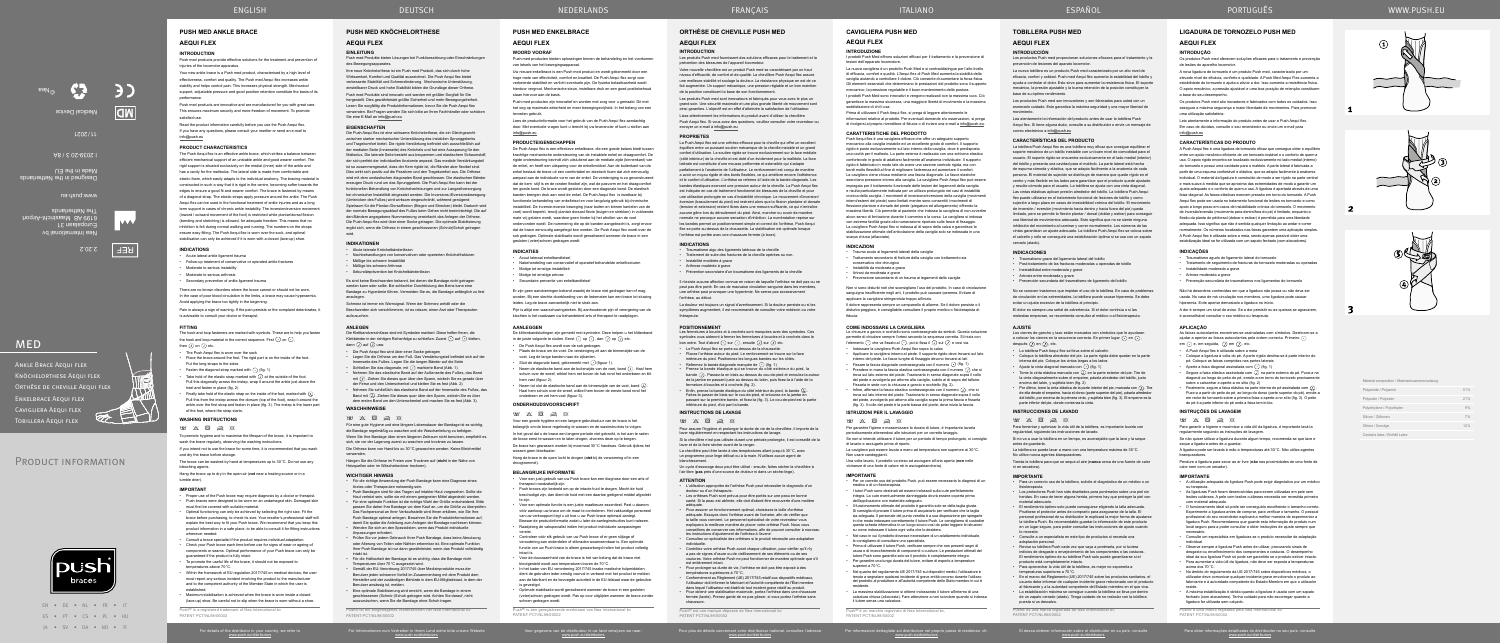EN • DE • NL • FR • IT ES • PT • CS • PL • HU JA • SV • DA • NO • FI

PRODUCT INFORMATION

**MED** 

Für Informationen zum Vertreiber in Ihrem Land siehe bitte unsere Website www.push.eu/distributors

Voor gegevens van de distributeur in uw land verwijzen we naar: www.push.eu/distributors

Pour plus de détails concernant votre distributeur national, consultez l'adresse www.push.eu/distributors

Per informazioni dettagliate sul distributore nel proprio paese di residenza, cfr. www.push.eu/distributors

Para obter informações detalhadas do distribuidor no seu país, consulte www.push.eu/distributors

# **ORTHÈSE DE CHEVILLE PUSH MED**

# **AEQUI FLEX**

# **INTRODUCTION**

Les produits Push med fournissent des solutions efficaces pour le traitement et la prévention des blessures de l'appareil locomoteur.

Votre nouvelle chevillère est un produit Push med se caractérisant par un haut niveau d'efficacité, de confort et de qualité. La chevillère Push Aequi flex assure une meilleure stabilité et soulage la douleur. La résistance physique en est de ce fait augmentée. Un support mécanique, une pression réglable et un bon maintien de la position constituent la base de son fonctionnement.

Les produits Push med sont innovateurs et fabriqués pour vous avec le plus un grand soin. Une sécurité maximale et une plus grande liberté de mouvement sont ainsi garanties. L'objectif est en effet d'atteindre la satisfaction de l'utilisateur. Lisez attentivement les informations du produit avant d'utiliser la chevillère Push Aequi flex. Si vous avez des questions, veuillez consulter votre revendeur ou envoyer un e-mail à info@push.eu

## **PROPRIETES**

Les fermetures à boucles et à crochets sont marquées avec des symboles. Ces symboles vous aideront à fermer les fermetures à boucles et à crochets dans le bon ordre. Tout d'abord  $\odot$  sur  $\odot$ , ensuite  $\odot$  sur  $\odot$  etc.

Refermez la bande diagonale marquée de  $\lceil \cdot \rceil$  (fig. 1) • Prenez la bande élastique qui se trouve du côté extérieur du pied, la

bande  $\Box$ . Passez-la en biais au dessus du cou-de-pied et enroulez-la autour de la jambe en passant juste au dessus du talon, puis fixez-la à l'aide de la fermeture à boucles et à crochets (fig. 2).

La Push Aequi flex est une orthèse efficace pour la cheville qui offre un excellent équilibre entre un puissant soutien mécanique de la cheville instable et un grand confort d'utilisation. Le soutien rigide se trouve exclusivement sur la face médial (côté intérieur) de la cheville et est doté d'un évidement pour la malléole. La face latérale est constituée d'une mousse préformée et extensible qui s'adapte parfaitement à l'anatomie de l'utilisateur. Le renforcement est conçu de manière a avoir un noyau rigide et des bords flexibles, ce qui améliore encore l'adhérence et le confort d'utilisation. L'orthèse se referme à l'aide de la bande diagonale. Les bandes élastiques exercent une pression autour de la cheville. La Push Aequi flex est indiquée en cas de traitement fonctionnel de blessures de la cheville et pour utilisation prolongée en cas d'instabilité chronique. Le mouvement d'inve éversion (basculement du pied) est restreint alors que la flexion plantaire et dorsale (tension et extension) restent libres dans une mesure suffisante, ce qui n'entraîne aucune gêne lors du déroulement du pied. Ainsi, marcher ou courir de manière ormale ne provoque aucune sensation d'inhibition. La numérotation reprise sur les bandes permet un positionnement simple et correct de l'orthèse. Push Aequi flex se porte au-dessus de la chaussette. La stabilisation est optimale lorsque l'orthèse est portée avec une chaussure fermée (à lacer).

# **INDICATIONS**

• Traumatisme aigu des ligaments latéraux de la cheville • Traitement de suite des fractures de la cheville opérées ou non.

températures supérieures à 70°C. • Conformément au Règlement (UE) 2017/745 relatif aux dispositifs médicaux,<br>l'utilisateur doit informer le fabricant et l'autorité compétente de l'État membre<br>dans lequel l'utilisateur est établi de tout incident grave rel

#### • Instabilité modérée à grave

• Arthrose modérée à grave • Prévention secondaire d'un traumatisme des ligaments de la cheville

Push<sup>®</sup> est une marque déposée de Nea International by PATENT PCT/NL98/00002

Die Klettbandverschlüsse sind mit Symbolen markiert. Diese helfen Ihnen, die Klettbänder in der richtigen Reihenfolge zu schließen. Zuerst  $\odot$  auf  $\odot$  kletten, dann  $\overline{(\cdot)}$  auf  $\overline{(\cdot)}$  usw.

Il n'existe aucune affection connue en raison de laquelle l'orthèse ne doit pas ou ne peut pas être porté. En cas de mauvaise circulation sanguine dans les membres, une orthèse peut provoquer une hyperémie. Ne serrez pas excessivement l'orthèse, au début.

- Die Push Aequi flex wird über einer Socke getragen
- Legen Sie die Orthese um den Fuß. Das Verstärkungsteil befindet sich auf der Innenseite des Fußes. Legen Sie die langen Bänder auf die Seite Schließen Sie das diagonale, mit  $\bigcap$  markierte Band (Abb. 1).
- Nehmen Sie das elastische Band auf der Außenseite des Fußes, das Band mit  $\overline{\mathcal{Q}}$  . Ziehen Sie dieses quer über den Spann, wickeln Sie es gerade über der Ferse und den Unterschenkel und kletten Sie es fest (Abb. 2)
- Nehmen Sie schließlich das elastische Band auf der Innenseite des Fußes, das Band mit (ل . Ziehen Sie dieses quer über den Spann, wickeln Sie es über<br>dem ersten Band um den Unterschenkel und machen Sie es fest (Abb. 3).

# **WASCHHIMMEISE**

La douleur est toujours un signal d'avertissement. Si la douleur persiste ou si les symptômes augmentent, il est recommandé de consulter votre médecin ou votre thérapeute.

#### **POSITIONNEMENT**

 $\qquad \qquad \blacksquare \qquad \boxtimes \qquad \boxtimes \qquad \boxtimes$ Für eine gute Hygiene und eine längere Lebensdauer der Bandage ist es wichtig, • Le Push Aequi flex se porte au dessus de la chaussette. • Placez l'orthèse autour du pied. Le renforcement se trouve sur la face intérieure du pied. Positionnez les longues bandes sur les côtés.

• Enfin, prenez la bande élastique du côté intérieur du pied, la bande . Faites-la passer de biais sur le cou-de-pied, et entourez-en la jambe en passant sur la première bande, et fixez-la (fig. 3). Le cou-de-pied est la partie inférieure du pied, d'où part la bande.

# **INSTRUCTIONS DE LAVAGE**

 $\qquad \qquad \blacksquare \; \; \boxtimes \; \; \boxtimes \; \; \boxtimes \; \; \boxtimes \; \; \boxtimes \;$ 

Pour assurer l'hygiène et prolonger la durée de vie de la chevillère, il importe de la laver régulièrement en respectant les instructions de lavage.

Si la chevillère n'est pas utilisée durant une période prolongée, il est conseillé de la laver et de la faire sécher avant de la ranger.

La chevillère peut être lavée à des températures allant jusqu'à 30°C, avec un programme pour linge délicat ou à la main. N'utilisez aucun agent de

blanchissement. Un cycle d'essorage doux peut être utilisé : ensuite, faites sécher la chevillère à

# l'air libre (**pas** près d'une source de chaleur ni dans un sèche-linge).

**ATTENTION**

• L'utilisation appropriée de l'orthèse Push peut nécessiter le diagnostic d'un docteur ou d'un thérapeute. • Les orthèses Push sont prévus pour être portés sur une peau en bonne santé. Si la peau est abîmée, elle doit d'abord être recouverte d'une matière

adéquate. • Pour assurer un fonctionnement optimal, choisissez la taille d'orthèse adéquate. Essayez donc l'orthèse avant de l'acheter, afin de vérifier que la taille vous convient. Le personnel spécialisé de votre revendeur vous expliquera la meilleure manière de placer votre orthèse Push. Nous vous

conseillons de conserver ces informations, afin de pouvoir consulter à nouveau les instructions d'ajustement de l'orthèse à l'avenir. • Consultez un spécialiste des orthèses si le produit nécessite une adaptation

individuelle. • Contrôlez votre orthèse Push avant chaque utilisation, pour vérifier qu'il n'y a pas de signes d'usure ou de vieillissement de ses éléments ou de ses

coutures. Votre orthèse Push ne peut fonctionner de manière optimale que s'il est entièrement intact. • Pour prolonger sa durée de vie, l'orthèse ne doit pas être exposé à des

fermée (lacée). Prenez garde de ne pas glisser, si vous portez l'orthèse sans chaussure.

#### **ANLEGEN**

die Bandage regelmäßig zu waschen und die Waschanleitung zu befolgen. Wenn Sie Ihre Bandage über einen längeren Zeitraum nicht benutzen, empfiehlt es sich, sie vor der Lagerung zuerst zu waschen und trocknen zu lassen.

Die Orthese kann von Hand bis zu 30°C gewaschen werden. Keine Bleichmittel verwenden.

For último, tome la cinta elástica de la parte interior del pie, marcada con  $(\lambda)$ . Tire de ella desde el empeine, hacia el dorso (parte superior del pie), pásela alrededor del tobillo, por encima de la primera cinta, y sujétela bien (fig. 3). El empeine es la parte inferior del pie, donde comienza la cinta.

Si desea obtener información sobre el distribuidor en su país, consulte<br>www.push.eu/distributors

Hängen Sie die Orthese im Freien zum Trocknen auf (**nicht** in der Nähe von Heizquellen oder im Wäschetrockner trocknen).

#### **WICHTIGER HINWEIS**

▪ El rendimiento óptimo solo puede conseguirse eligiendo la talla adecuada.<br>Pruébese el protector antes de comprarlo para asegurarse de la talla. El<br>personal profesional de su distribuidor le explicará la mejor forma de a la tobillera Push. Es recomendable guardar la información de este producto en un lugar seguro, para poder consultar las instrucciones de ajuste cuando lo necesite. • Consulte a un especialista en este tipo de productos si necesita una

- Für die richtige Anwendung der Push Bandage kann eine Diagnose eines Arztes oder Therapeuten notwendig sein. • Push Bandagen sind für das Tragen auf intakter Haut vorgesehen. Sollte die
- Haut verletzt sein, sollte sie mit einem geeigneten Mittel abgedeckt werden. • Für eine optimale Funktion ist die richtige Wahl der Größe entscheidend. Bitte passen Sie daher Ihre Bandage vor dem Kauf an, um die Größe zu über Das Fachpersonal an Ihrer Verkaufsstelle wird Ihnen erklären, wie Sie Ihre
- Push Bandage optimal anlegen. Bewahren Sie die Produktinformationen auf, damit Sie später die Anleitung zum Anlegen der Bandage nachlesen können. • Wenden Sie sich an den Spezialisten, wenn das Produkt individuelle
- Anpassungen erfordert. Prüfen Sie vor jedem Gebrauch Ihrer Push Bandage, dass keine Abnutzung
- oder Alterung von Teilen oder Nähten erkennbar ist. Eine optimale Funktion Ihrer Push Bandage ist nur dann gewährleistet, wenn das Produkt vollständig intakt ist. • Für die Haltbarkeit der Bandage ist es wichtig, dass die Bandage nicht
- Temperaturen über 70°C ausgesetzt wird. • Gemäß der EU-Verordnung 2017/745 über Medizinprodukte muss der Benutzer jeden schweren Vorfall im Zusammenhang mit dem Produkt dem
- Hersteller und der zuständigen Behörde in dem EU-Mitgliedstaat, in dem der Benutzer ansässig ist, melden. • Eine optimale Stabilisierung wird erreicht, wenn die Bandage in einem
- geschlossenen (Schnür-)Schuh getragen wird. Achten Sie darauf, nicht auszurutschen, wenn Sie die Bandage ohne Schuh tragen. Push® ist ein eingetragenes Warenzeichen von Nea International bv

Ankle Brace Aequi flex Knöchelorthese Aequi flex ORTHÈSE DE CHEVILLE AEQUI FLEX

Enkelbrace Aequi flex Cavigliera Aequi flex TOBILLERA AEQUI FLEX Push med products provide effective solutions for the treatment and prevention o injuries of the locomotor apparatus.

PATENT PCT/NL98/00002

# **PUSH MED KNÖCHELORTHESE**

# **AEQUI FLEX**

**EINLEITUNG** Push med Produkte bieten Lösungen bei Funktionsstörung oder Einschränkungen des Bewegungsapparates.

Ihre neue Knöchelorthese ist ein Push med Produkt, das sich durch hohe Wirksamkeit, Komfort und Qualität auszeichnet. Die Push Aequi flex bietet verbesserte Stabilität und Schmerzlinderung. Mechanische Unterstützung, einstellbarer Druck und hohe Stabilität bilden die Grundlage dieser Orthese. Push med Produkte sind innovativ und werden mit größter Sorgfalt für Sie hergestellt. Dies gewährleistet größte Sicherheit und mehr Bewegungsfreiheit. Lesen Sie sorgfältig die Produktinformationen, bevor Sie die Push Aequi flex verwenden. Bei Fragen wenden Sie sich bitte an Ihren Fachhändler oder schicken Sie eine E-Mail an info@push.eu

#### **EIGENSCHAFTEN**

Die Push Aequi flex ist eine wirksame Knöchelorthese, die ein Gleichgewicht zwischen starker mechanischer Unterstützung des instabilen Sprunggelenks und Tragekomfort bietet. Die rigide Verstärkung befindet sich ausschließlich auf der medialen Seite (Innenseite) des Knöchels und hat eine Aussparung für den Malleolus. Die laterale Seite besteht aus bequemem und elastischem Schaumstoff, der sich perfekt der individuellen Anatomie anpasst. Das mediale Verstärkungsteil ist so zusammengesetzt, dass der Kern rigide ist, die Ränder aber flexibel sind. Dies wirkt sich positiv auf die Passform und den Tragekomfort aus. Die Orthese wird mit dem unelastischen diagonalen Band geschlossen. Die elastischen Bänder erzeugen Druck rund um das Sprunggelenk. Die Push Aequi flex kann bei der funktionellen Behandlung von Knöchelverletzungen und zur Langzeitversorgung bei chronischer Instabilität eingesetzt werden. Die Inversions-/Eversions (Umknicken des Fußes) wird wirksam eingeschränkt, während genügend Spielraum für die Plantar-/Dorsalflexion (Biegen und Strecken) bleibt. Dadurch wird der normale Bewegungsablauf des Fußes beim Gehen nicht beeinträchtigt. Die auf den Bändern angegebene Nummerierung vereinfacht das Anlegen der Orthese. Die Push Aequi flex wird über einer Socke getragen. Die optimale Stabilisierung ergibt sich, wenn die Orthese in einem geschlossenen (Schnür)Schuh getragen wird.

# **INDIKATIONEN**

- Akute laterale Knöchelbänderläsion • Nachbehandlungen von konservativen oder operierten Knöchelfrakturen
- Mäßige bis schwere Instabilität
- Mäßige bis schwere Arthrose
- Sekundärprävention bei Knöchelbänderläsion

Es sind keine Beschwerden bekannt, bei denen die Bandage nicht getragen werden kann oder sollte. Bei schlechter Durchblutung des Beins kann eine Bandage zu Hyperämie führen. Vermeiden Sie es, die Bandage anfänglich zu fest anzulegen.

Schmerz ist immer ein Warnsignal. Wenn der Schmerz anhält oder die Beschwerden sich verschlimmern, ist es ratsam, einen Arzt oder Therapeuten aufzusuchen.

# **TOBILLERA PUSH MED**

**AEQUI FLEX**

#### **INTRODUCCIÓN**

Los productos Push med proporcionan soluciones eficaces para el tratamiento y la prevención de lesiones del aparato locomotor.

- Acuut lateraal enkelbandletsel
- Nabehandeling van conservatief of operatief behandelde enkelfracturen • Matige tot ernstige instabiliteit
- Matige tot ernstige artrose
- Secundaire preventie van enkelbandletse

La nueva tobillera es un producto Push med caracterizado por un alto nivel de eficacia, confort y calidad. Push med Aequi flex aumenta la estabilidad del tobillo y ayuda a controlar el dolor. Esto sirve para aumentar la resistencia física. El soporte mecánico, la presión ajustable y la buena retención de la posición constituyen la base de su óptimo rendimiento.

Pijn is altijd een waarschuwingsteken. Bij aanhoudende pijn of verergering van de klachten is het raadzaam uw behandelend arts of therapeut te raadplegen.

Los productos Push med son innovadores y son fabricados para usted con un esmerado cuidado. Esto garantiza la máxima seguridad y una mayor libertad de movimiento.

De klittenbandsluitingen zijn gemerkt met symbolen. Deze helpen u het klittenband in de juiste volgorde te sluiten. Eerst  $\lceil \cdot \rceil$  op  $\lceil \cdot \rceil$ , dan  $\lceil \cdot \rceil$  op  $\lceil \cdot \rceil$  etc.

Lea atentamente la información del producto antes de usar la tobillera Push Aequi flex. Si tiene alguna duda, consulte a su distribuidor o envíe un mensaje de correo electrónico a info@push.eu

#### **CARACTERÍSTICAS DEL PRODUCTO**

La tobillera Push Aequi flex es una tobillera muy eficaz que consigue equilibrar el soporte mecánico de un tobillo inestable con un buen nivel de comodidad para el usuario. El soporte rígido se encuentra exclusivamente en el lado medial (interio del tobillo y presenta una cavidad para el maléolo. La parte lateral está hecha de espuma cómoda y elástica, que se adapta fácilmente a la anatomía de cada persona. El material de sujeción se distribuye de manera que quede rígido en el centro y más flexible en los lados para garantizar que el producto quede ajustado y resulte cómodo para el usuario. La tobillera se ajusta con una cinta diagonal. Las cintas elásticas aplican presión alrededor del tobillo. La tobillera Push Aequi flex puede utilizarse en el tratamiento funcional de lesiones de tobillo y como sujeción a largo plazo en casos de inestabilidad crónica del tobillo. El movimiento de inversión / eversión (movimiento hacia dentro y hacia fuera del pie) queda limitado, pero se permite la flexión plantar / dorsal (doblar y estirar) para conseguir una libertad de movimientos adecuada. Esto significa que no se siente ninguna inhibición del movimiento al caminar y correr normalmente. Los números de las cintas garantizan un ajuste adecuado. La tobillera Push Aequi flex se coloca sobre el calcetín y sólo se conseguirá una estabilización óptima si se usa con un zapato cerrado (atado).

I prodotti Push Med sono innovativi e vengono realizzati con la massima cura. Ciò garantisce la massima sicurezza, una maggiore libertà di movimento e la massima sfazione di chi li usa

#### **INDICACIONES**

- Traumatismo grave del ligamento lateral del tobillo
- Post-tratamiento de las fracturas moderadas u operadas de tobillo • Inestabilidad entre moderada y grave
- Artrosis entre moderada y grave
- Prevención secundaria del traumatismo de ligamento del tobillo

Push Aequi flex è una cavigliera efficace che offre un adeguato supporto meccanico alla caviglia instabile ed un eccellente grado di comfort. Il supporto rigido è posto esclusivamente sul lato interno della caviglia, dove è predisposta una cavità per il malleolo. La parte esterna è realizzata con una schiuma elastica confortevole in grado di adattarsi facilmente all'anatomia individuale. Il supporto rigido è fabbricato in modo tale da avere una sezione centrale rigida, ma con bordi molto flessibili al fine di migliorare l'aderenza ed aumentare il comfort. La cavigliera viene chiusa mediante una fascia diagonale. Le fasce elastiche esercitano pressione intorno alla caviglia. La cavigliera Push Aequi flex può essere impiegata per il trattamento funzionale delle lesioni dei legamenti della caviglia e risulta particolarmente indicata per un utilizzo prolungato nei casi di instabilità cronica della caviglia. I movimenti di inversione/eversione della caviglia (movimenti interni/esterni del piede) sono limitati mentre sono consentiti i movimenti di flessione plantare e dorsale del piede (piegatura ed allungamento) offrendo la massima libertà. Ciò permette al paziente che indossa la cavigliera di non avvertire alcun senso di limitazione durante il cammino e la corsa. La cavigliera si indossa con estrema facilità grazie alla numerazione riportata sulle fasce di fissaggio. La cavigliera Push Aequi flex si indossa al di sopra della calza e garantisce la stabilizzazione ottimale dell'articolazione della caviglia solo se indossata in una scarpa chiusa (allacciata).

> No se conocen trastornos que impidan el uso de la tobillera. En caso de problemas de circulación en las extremidades, la tobillera puede causar hiperemia. Se debe evitar un ajuste excesivo de la tobillera al principio.

El dolor es siempre una señal de advertencia. Si el dolor continúa o si las molestias empeoran, se recomienda consultar al médico o al fisioterapeuta.

#### **AJUSTE**

Los cierres de gancho y lazo están marcados con símbolos que le ayudara a colocar los cierres en la secuencia correcta. En primer lugar  $\bigcirc$  en  $\bigcirc$ , después  $\overline{(\cdot)}$  en  $\overline{(\cdot)}$ , etc.

- La tobillera Push Aequi flex se lleva sobre el calcetín Coloque la tobillera alrededor del pie. La parte rígida debe quedar en la parte interna del pie. Coloque las cintas largas a los lados
- Ajuste la cinta diagonal marcada con (1) (fig. 1)
- en la cinta elástica marcada con (U) en la parte exterior del pie. Tire de = la cinta diagonalmente sobre el empeine, pásela alrededor del tobillo, justo encima del talón, y sujétela bien (fig. 2)

Non vi sono disturbi noti che sconsigliano l'uso del prodotto. In caso di circolazione sanguigna insufficiente negli arti, il prodotto può causare iperemia. Evitare di applicare la cavigliera stringendola troppo all'inizio. Il dolore rappresenta sempre un campanello di allarme. Se il dolore persiste o i

isturbo peggiora, è consigliabile consultare il proprio medico o fisioterapista d fiducia.

Le chiusure a gancio e occhiello sono contrassegnate da simboli. Questa soluzione permette di chiudere sempre l'ortesi secondo la sequenza corretta. Si inizia con l'elemento  $\odot$  che va fissato al  $\odot$ , poi si fissa il  $\odot$  sul  $\odot$  e così via.

#### **INSTRUCCIONES DE LAVADO**

Para fomentar y optimizar la vida útil de la tobillera, es importante lavarla con

regularidad, siguiendo las instrucciones de lavado.

 $\qquad \qquad \ \ \, \boxtimes \qquad \ \ \, \boxtimes \qquad \ \ \, \boxtimes \qquad \ \ \, \otimes$ 

No utilice nunca agentes blanqueadore

Si no va a usar la tobillera en un tiempo, es aconsejable que la lave y la seque

antes de guardarla.

La tobillera se puede lavar a mano con una temperatura máxima de 30°C.

Tienda la tobillera para que se seque al aire (**nunca** cerca de una fuente de calor

ni en secadora). **IMPORTANTE**

• Para un correcto uso de la tobillera, solicite el diagnóstico de un médico o un

fisioterapeuta.

Una volta lavato, il prodotto va steso ad asciugare all'aria aperta (**non** nelle vicinanze di una fonte di calore né in asciuga

> • Los protectores Push han sido diseñados para ponérselos sobre una piel sin heridas. En caso de tener alguna herida, primero hay que proteger la piel con

material adecuado.

adaptación personal.

• Revise su tobillera Push cada vez que vaya a ponérsela, por si tuviera indicios de desgaste o envejecimiento de los componentes o las costuras. El rendimiento óptimo de su tobillera Push solo puede garantizarse si el

producto está completamente intacto.

• Para aprovechar la vida útil de la tobillera, es mejor no exponerla a temperaturas superiores a 70°C. • En el marco del Reglamento (UE) 2017/745 sobre los productos sanitarios, el usuario debe informar de cualquier incidente grave relacionado con el producto<br>al fabricante y a la autoridad competente del Estado miembro en el que viva.<br>• La estabilización máxima se consigue cuando la tobillera se l de un zapato cerrado (atado). Tenga cuidado de no resbalar con la tobillera

puesta si va descalzo.

**PATENT PCT/NL98/0000** 

Push® es una marca registrada de Nea International bv,

# **PUSH MED ANKLE BRACE**

# **AEQUI FLEX**

# **INTRODUCTION**

Your new ankle brace is a Push med product, characterised by a high level of effectiveness, comfort and quality. The Push med Aequi flex increases ankle stability and helps control pain. This increases physical strength. Mechanical support, adjustable pressure and good position retention constitute the basis of its performance.

Push med products are innovative and are manufactured for you with great care. This ensures maximum security and more freedom of movement. To promote satisfied use.

> As faixas autocolantes encontram-se assinaladas com símbolos. Destinam-se a ar a apertar as faixas autocolantes pela ordem correcta. Primeiro  $\boxed{\cdot}$

Read the product information carefully before you use the Push Aequi flex. If you have any questions, please consult your reseller or send an e-mail to info@push.eu

#### **PRODUCT CHARACTERISTICS**

pé. Coloque as faixas compridas nas partes laterais • Aperte a faixa diagonal assinalada com (1) (fig. 1)

Segure a faixa elástica assinalada com  $\overline{O}$  na parte externa do pé. Puxe-a na diagonal ao longo do peito do pé, enrole-a em torno do tornozelo precisamente

Finalmente, segure a faixa elástica na parte interna do pé assinalada com  $\overline{(\lambda)}$ Puxe-a a partir do peito do pé, ao longo do dorso (parte superior do pé), enrole-a em redor do tornozelo sobre a primeira faixa e aperte-a no sítio (fig. 3). O peito do pé é a parte inferior do pé onde a faixa tem início.

**INSTRUÇÕES DE LAVAGEM**  $\qquad \qquad \blacksquare \qquad \boxtimes \qquad \boxtimes \qquad \boxtimes$ 

> • As ligaduras Push foram desenvolvidas para serem utilizadas em pele sem lesãos cutâneas. A pele com lesões cutâneas necessita ser rev

The Push Aequi flex is an effective ankle brace, which strikes a balance between efficient mechanical support of an unstable ankle and good wearer comfort. The rigid support is situated exclusively on the medial (inner) side of the ankle and has a cavity for the malleolus. The lateral side is made from comfortable and elastic foam, which easily adapts to the individual anatomy. The bracing material is constructed in such a way that it is rigid in the centre, becoming softer towards the edges to ensure a good fit and wearer comfort. The brace is fastened by means of a diagonal strap. The elastic straps apply pressure around the ankle. The Push Aequi flex can be used in the functional treatment of ankle injuries and as a long term support in cases of chronic ankle instability. The inversion/eversion movement (inward / outward movement of the foot) is restricted while plantar/dorsal flexion (bending and stretching) is allowed, for adequate freedom. This means that no inhibition is felt during normal walking and running. The numbers on the straps ensure easy fitting. The Push Aequi flex is worn over the sock, and optimal stabilisation can only be achieved if it is worn with a closed (lace-up) shoe.

## **INDICATIONS**

- Acute lateral ankle ligament trauma • Follow-up treatment of conservative or operated ankle fractures
- Moderate to serious instability
- Moderate to serious arthrosis
- Secondary prevention of ankle ligament trauma

There are no known disorders where the brace cannot or should not be worn. In the case of poor blood circulation in the limbs, a brace may cause hyperaemia. Avoid applying the brace too tightly in the beginning.

Pain is always a sign of warning. If the pain persists or the complaint deteriorates, it is advisable to consult your doctor or therapist.

#### **FITTING**

- The hook and loop fasteners are marked with symbols. These are to help you fasten the hook and loop material in the correct sequence. First  $\odot$  on  $\odot$ , then  $\textcircled{1}$  on  $\textcircled{1}$  etc.
- The Push Aequi flex is worn over the sock
- Place the brace around the foot. The rigid part is on the inside of the foot. Put the long straps to the sides
- Fasten the diagonal strap marked with  $\odot$  (fig. 1)
- Take hold of the elastic strap marked with  $\overline{J}$  at the outside of the foot. Pull this diagonally across the instep, wrap it around the ankle just above the heel and fasten in place (fig. 2)
- Finally take hold of the elastic strap on the inside of the foot, marked with  $\overline{(\lambda)}$ Pull this from the instep across the dorsum (top of the foot), wrap it around the ankle over the first strap and fasten in place (fig. 3). The instep is the lower part of the foot, where the strap starts.

## **WASHING INSTRUCTIONS**

#### $W$   $X$   $\overline{\Omega}$   $\overline{\Omega}$   $X$

To promote hygiene and to maximise the lifespan of the brace, it is important to wash the brace regularly, observing the washing instructions.

- If you intend not to use the brace for some time, it is recommended that you wash and dry the brace before storage
- The brace can be washed by hand at temperatures up to 30°C. Do not use any bleaching agents.

Hang the brace up to dry in the open air (**not** near a heating source or in a tumble drier).

#### **IMPORTANT**

- Proper use of the Push brace may require diagnosis by a doctor or therapist. • Push braces were designed to be worn on an undamaged skin. Damaged skin must first be covered with suitable material.
- Optimal functioning can only be achieved by selecting the right size. Fit the brace before purchasing, to check its size. Your reseller's professional staff will explain the best way to fit your Push brace. We recommend that you keep this product information in a safe place, to be able to consult it for fitting instructions whenever needed.
- Consult a brace specialist if the product requires individual adaptation. • Check your Push brace each time before use for signs of wear or ageing of components or seams. Optimal performance of your Push brace can only be
- guaranteed if the product is fully intact. To promote the useful life of the brace, it should not be exposed to temperatures above 70°C.
- Within the framework of EU regulation 2017/745 on medical devices, the user must report any serious incident involving the product to the manufacture and to the competent authority of the Member State in which the user is established.
- Maximum stabilisation is achieved when the brace is worn inside a closed (lace-up) shoe. Be careful not to slip when the brace is worn without a shoe.

Push® is a registered trademark of Nea International bv PATENT PCT/NL98/00002

For details of the distributor in your country, we refer to<br>www.push.eu/distributors

# **PUSH MED ENKELBRACE**

# **AEQUI FLEX**

# **WOORD VOORAF**

Push med producten bieden oplossingen binnen de behandeling en het voorkomen van letsels van het bewegingsapparaat.

Uw nieuwe enkelbrace is een Push med product en wordt gekenmerkt door een hoge mate van effectiviteit, comfort en kwaliteit. De Push Aequi flex zorgt voor verbeterde stabiliteit en verlicht eventuele pijn. De fysieke belastbaarheid word hierdoor vergroot. Mechanische steun, instelbare druk en een goed positiebehoud staan hiervoor aan de basis.

Push med producten zijn innovatief en worden met zorg voor u gemaakt. Dit met het oog op maximale zekerheid en meer bewegingsvrijheid. In het belang van een tevreden gebruik.

Lees de productinformatie voor het gebruik van de Push Aequi flex aandachtig door. Met eventuele vragen kunt u terecht bij uw leverancier of kunt u stellen aan info@push.eu.

# **PRODUCTEIGENSCHAPPEN**

De Push Aequi flex is een effectieve enkelbrace, die een goede balans biedt tussen krachtige mechanische ondersteuning van de instabiele enkel en draagcomfort. De rigide ondersteuning bevindt zich uitsluitend aan de mediale zijde (binnenkant) va de enkel, en heeft een uitsparing voor de enkelknobbel. Aan de buitenkant van de enkel bestaat de brace uit een comfortabel en elastisch foam dat zich eenvoudig aanpast aan de individuele vorm van de enkel. De versteviging is zo geconstrueerd dat de kern stijf is en de randen flexibel zijn, wat de pasvorm en het draagcomfort ten goede komt. De brace wordt gesloten door een diagonale band. De elastisch banden brengen druk aan rond de enkel. De Push Aequi flex is inzetbaar bij functionele behandeling van enkelletsel en voor langdurig gebruik bij chronische instabiliteit. De inversie-eversie beweging (naar buiten en binnen kantelen van de voet) wordt beperkt, terwijl plantair dorsaal-flexie (buigen en strekken) in voldoende mate vrij gelaten wordt, waardoor geen hinder bij het afrollen van de voet ondervonden wordt. De nummering die op de banden aangebracht is, zorgt ervoor dat de brace eenvoudig aangelegd kan worden. De Push Aequi flex wordt over de sok gedragen. Optimale stabilisatie wordt gerealiseerd wanneer de brace in een gesloten (veter)schoen gedragen wordt.

#### **INDICATIES**

Er zijn geen aandoeningen bekend waarbij de brace niet gedragen kan of mag worden. Bij een slechte doorbloeding van de ledematen kan een brace tot stuwing leiden. Leg de brace aanvankelijk niet te strak aan.

#### **AANLEGGEN**

- De Push Aequi flex wordt over de sok gedragen. • Plaats de brace om de voet. De versteviging zit aan de binnenzijde van de voet. Leg de lange banden naar de zijkanten.
- Sluit de diagonale band, gekenmerkt met ( figuur 1).
- Neem de elastische band aan de buitenzijde van de voet, band  $\overline{Q}$ . Haal hem schuin over de wreef, wikkel hem net boven de hak rond het onderbeen en klit hem vast (figuur 2).
- Neem tot slot de elastische band aan de binnenzijde van de voet, band  $\overline{\mathcal{L}}$ . Haal hem schuin over de wreef, wikkel hem boven de eerste band rond het onderbeen en zet hem vast (figuur 3).

# **ONDERHOUDSVOORSCHRIFT**

 $W$   $\times$   $\boxtimes$   $\approx$   $\otimes$ 

Voor een goede hygiëne en een langere gebruiksduur van de brace is het belangrijk om de brace regelmatig te wassen en de wasinstructies te volgen.

In het geval dat u de brace een langere periode niet gebruikt, is het aan te raden de brace eerst te wassen en te laten drogen, alvorens deze op te bergen. De brace kan gewassen worden bij maximaal 30°C handwas. Gebruik tijdens het

Hang de brace in de open lucht te drogen (**niet** bij de verwarming of in een

**BELANGRIJKE INFORMATIE**

apeut noodzakelijk zijn.

wassen geen bleekwater

droogtrommel

• Voor een juist gebruik van uw Push brace kan een diagnose door een arts of

• Push braces zijn bedoeld om op de intacte huid te dragen. Mocht de huid beschadigd zijn, dan dient de huid met een daartoe geëigend middel afgedekt

te zijn.

• Voor een optimale functie is een juiste maatkeuze essentieel. Past u daarom vóór aankoop uw brace om de maat te controleren. Het vakkundige personeel van uw verkooppunt legt u uit hoe u uw Push brace optimaal aanlegt. Bewaar de productinformatie zodat u later de aanleginstructies kunt nalezen. • Raadpleeg de vakspecialist indien het product individuele aanpassingen vereist. • Controleer vóór elk gebruik van uw Push brace of er geen slijtage of veroudering aan onderdelen of stiknaden waarneembaar is. Een optimale functie van uw Push brace is alleen gewaarborgd indien het product volledig

intact is.

• Voor de duurzaamheid van de brace is het van belang dat de brace niet blootgesteld wordt aan temperaturen boven de 70°C. In het kader van EU verordening 2017/745 inzake medische hulpmiddeler dient de gebruiker ieder ernstig voorval in verband met het product te melden aan de fabrikant en de bevoegde autoriteit in de EU-lidstaat waar de gebruiker

is gevestigd.

• Optimale stabilisatie wordt gerealiseerd wanneer de brace in een gesloten (veter)schoen gedragen wordt. Pas op voor uitglijden wanneer de brace zonder

schoen gedragen wordt.

Push® is een geregistreerde merknaam van Nea International bv PATENT PCT/NL98/00002

ITALIANO ESPAÑOL

# **CAVIGLIERA PUSH MED**

# **AEQUI FLEX INTRODUZIONE**

I prodotti Push Med offrono soluzioni efficaci per il trattamento e la prevenzione di lesioni dell'apparato locomotore.

La nuova cavigliera è un prodotto Push Med e si contraddistingue per l'alto livello di efficacia, comfort e qualità. L'Aequi flex di Push Med aumenta la stabilità della caviglia aiutando a controllare il dolore. Ciò consente di aumentare la forza fisica. Gli elementi essenziali che determinano le prestazioni del prodotto sono il supporto meccanico, la pressione regolabile e il buon mantenimento della postura.

Prima di utilizzare il Push Aequi flex, si prega di leggere attentamente le informazioni relative al prodotto. Per eventuali domande e/o osservazioni, si prega di rivolgersi al proprio rivenditore di fiducia o di inviare una e-mail a info@push.eu.

# **CARATTERISTICHE DEL PRODOTTO**

## **INDICAZIONI**

- Trauma acuto ai legamenti laterali della caviglia • Trattamento secondario di fratture della caviglia con trattamento sia
- nservativo che chirurgic
- Instabilità da moderata a grave • Artrosi da moderata a grave
- Prevenzione secondaria di un trauma ai legamenti della caviglia

# **COME INDOSSARE LA CAVIGLIERA**

- Indossare la cavigliera Push Aequi flex sopra la calza • Applicare la cavigliera intorno al piede. Il supporto rigido deve trovarsi sul lato interno del piede. Le fasce lunghe di fissaggio devono trovarsi ai lati
- Fissare la fascia diagonale contrassegnata con il numero  $\bigodot$  (fig. 1) trendere in mano la fascia elastica contrassegnata con il numero [J] che si و trova sul lato esterno del piede<br>trova sul lato esterno del piede. Trazionarla in senso diagonale sopra il collo
- del piede e avvolgerla poi attorno alla caviglia, subito al di sopra del tallone. Fissarla in sede con la chiusura a gancio e occhiello (fig. 2). Infine, afferrare la fascia elastica contrassegnata con il numero  $(\lambda)$ , che si
- trova sul lato interno del piede. Trazionarla in senso diagonale sopra il collo del piede, avvolgerla poi attorno alla caviglia sopra la prima fascia e fissarla (fig. 3). Il collo del piede è la parte bassa del piede, dove inizia la fascia. **ISTRUZIONI PER IL LAVAGGIO**

 $W$   $X$   $\boxtimes$   $\cong$   $\otimes$ 

Per garantire l'igiene e massimizzare la durata di tutore, è importante lavarla periodicamente attenendosi alle istruzioni per un corretto lavaggio.

Se non si intende utilizzare il tutore per un periodo di tempo prolungato, si consiglia di lavarlo e asciugarlo prima di riporlo.

La cavigliera può essere lavata a mano ad temperatura non superiore ai 30°C. Non usare candeggianti.

#### **IMPORTANTE**

- Per un corretto uso del prodotto Push, può essere necessaria la diagnosi di un
- medico o di un fisioterapista. I tutori Push sono destinati ad essere indossati sulla cute perfettamente integra. La cute eventualmente danneggiata dovrà essere coperta prima dell'applicazione con materiale adeguato.
- Il funzionamento ottimale del prodotto è garantito solo se della taglia giusta. Si consiglia di provare il tutore prima di acquistarlo per verificare che la taglia sia adeguata. Il personale del punto vendita è a sua disposizione per spiegarle<br>in che modo indossare correttamente il tutore Push. Le consigliamo di custodire<br>questa scheda informativa in un luogo sicuro così da poter leg su come indossare il tutore ogni volta che lo desidera.
- Nel caso in cui il prodotto dovesse necessitare di un adattamento individuale, le consigliamo di consultare uno specialista.
- Prima di utilizzare il tutore Push, verificare sempre che non presenti segni di usura o di invecchiamento di componenti o cuciture. Le prestazioni ottimali del tutore Push sono garantite solo se il prodotto è completamente integro.
- Per garantire una lunga durata del tutore, evitare di esporlo a temperature superiori a 70°C. • Nel quadro del regolamento UE 2017/745 sui dispositivi medici, l'utilizzatore è tenuto a segnalare qualsiasi incidente di grave entità occorso durante l'utilizzo del prodotto al produttore e all'autorità competente dello Stato membro in cui è
- residente. La massima stabilizzazione si ottiene indossando il tutore all'interno di una
- calzatura chiusa (allacciata). Fare attenzione a non scivolare quando si indossa il tutore senza una calzatura.

Push® è un marchio registrato di Nea International bv, PATENT PCT/NL98/00002

# WWW.PUSH.EU





 $\mathbf{1}$ 

 $\overline{\mathbf{2}}$ 



**LIGADURA DE TORNOZELO PUSH MED** 

**AEQUI FLEX INTRODUÇÃO**

Os produtos Push med oferecem soluções eficazes para o tratamento e prevenção

de lesões do aparelho locomotor.

A nova ligadura de tornozelo é um produto Push med, caracterizado por um elevado nível de eficácia, conforto e qualidade. A Push Med Aequi Flex aumenta a estabilidade do tornozelo e ajuda a aliviar a dor. Isso aumenta a resistência física. O apoio mecânico, a pressão ajustável e uma boa posição de retenção constituem

a base do seu desempenho.

Os produtos Push med são inovadores e fabricados com todos os cuidados. Isso assegura a máxima segurança e maior liberdade de movimentos. Para promover

uma utilização satisfatória.

Leia atentamente a informação do produto antes de usar a Push Aequi flex. Em caso de dúvidas, consulte o seu revendedor ou envie um e-mail para

info@push.eu

**CARACTERÍSTICAS DO PRODUTO**

A Push Aequi flex é uma ligadura de tornozelo eficaz que consegue obter o equilíbrio entre um apoio mecânico eficiente de um tornozelo instável e o conforto de quem a usa. O apoio rígido encontra-se localizado exclusivamente no lado medial (interno) do tornozelo e possui uma cavidade para o maléolo. A parte lateral é fabricada a partir de uma espuma confortável e elástica, que se adapta facilmente à anatomia individual. O material da ligadura é construído de modo a ser rígido na parte central e mais suave à medida que se aproxima das extremidades de modo a garantir um ajuste adequado e o conforto de quem a usa. A ligadura é apertada através de uma faixa diagonal. As faixas elásticas exercem pressão em torno do tornozelo. A Push Aequi flex pode ser usada no tratamento funcional de lesões no tornozelo e como apoio a longo prazo em casos de instabilidade crónica do tornozelo. O movimento de inversão/eversão (movimento para dentro/fora do pé) é limitado, enquanto a flexão da planta do pé/dorsal (dobrar e esticar) é permitida para uma liberdad adequada. Isso significa que não é sentida qualquer limitação ao andar e correr normalmente. Os números localizados nas faixas garantem uma aplicação simples. A Push Aequi flex é utilizada sobre a meia, sendo apenas possível obter uma estabilização ideal se for utilizada com um sapato fechado (com atacadores).

**INDICAÇÕES**

• Traumatismo agudo do ligamento lateral do tornozelo

• Tratamento de seguimento de fracturas do tornozelo moderadas ou operadas

• Instabilidade moderada a grave • Artrose moderada a grave

• Prevenção secundária de traumatismos nos ligamentos do tornozelo Não há desordens conhecidas em que a ligadura não possa ou não deva ser usada. No caso de má circulação nos membros, uma ligadura pode causar

hiperemia. Evite apertar demasiado a ligadura no início.

A dor é sempre um sinal de aviso. Se a dor persistir ou as queixas se agravarem,

é aconselhável consultar o seu médico ou terapeuta.

**APLICAÇÃO**

• A Push Aequi flex é utilizada sobre a meia • Coloque a ligadura à volta do pé. A parte rígida destina-se à parte interior do

sobre o calcanhar e aperte-a no sítio (fig. 2)

Para garantir a higiene e maximizar a vida útil da ligadura, é importante lavá-la

regularmente seguindo as instruções de lavagem.

em  $\odot$  e, em seguida,  $\odot$  em  $\odot$ , etc.

Se não quiser utilizar a ligadura durante algum tempo, recomenda-se que lave e

seque a ligadura antes de a guardar.

A ligadura pode ser lavada à mão a temperaturas até 30°C. Não utilize agentes

branqueadores.

Pendure a ligadura para secar ao ar livre (**não** nas proximidades de uma fonte de

calor nem com um secador). **IMPORTANTE**

• A utilização adequada da ligadura Push pode exigir diagnóstico por um médico

ou terapeuta.

com material adequado.

• O funcionamento ideal só pode ser conseguido escolhendo o tamanho correto. Experimente a ligadura antes de comprar, para verificar o tamanho. O pessoal profissional do seu revendedor explicará a melhor maneira de experimentar a ligadura Push. Recomendamos que guarde esta informação do produto num local seguro para a poder consultar e obter instruções de ajuste sempre que necessário. • Consulte um especialista em ligaduras se o produto necessitar de adaptação individual. • Observe sempre a ligadura Push antes de utilizar, procurando sinais de desgaste ou envelhecimento dos componentes e costuras. O desempenho ideal da sua ligadura Push só pode ser garantido se o produto estiver intacto. Para aumentar a vida útil da ligadura, não deve ser exposta a temperaturas<br>acima dos 70°C acima dos 70°C. • No âmbito do regulamento da UE 2017/745 sobre dispositivos médicos, o utilizador deve comunicar qualquer incidente grave envolvendo o produto ao fabricante e à autoridade competente do Estado-Membro em que o utilizado reside. • A máxima estabilização é obtida quando a ligadura é usada com um sapato fechado (com atacadores). Tenha cuidado para não escorregar quando a

ligadura for utilizada sem calçado.

Push® é uma marca registada pela Nea International bv,

PATENT PCT/NL98/00002

PORTUGUÊS

2.20.2

**REF** 

N XX

 $\sqrt{2}$   $\sqrt{1}$ 

Nea International bv Europalaan 31

6199 AB Maastricht-Airport

The Netherlands

www.push.eu

Designed in the Netherlands

Made in the EU

I 2039-20 3 / 8A

2021 / 11

Medical Device

©Nea

| Material composition / Materialzusammensetzung |     |
|------------------------------------------------|-----|
| Polyamide / Polyamid                           | 51% |
| Polyester / Polyester                          | 21% |
| Polyethylene / Polyethylen                     | 9%  |
| Silicon / Silikonen                            | 7%  |
| Others / Sonstige                              | 12% |
| Contains latex / Enthält Latex                 |     |